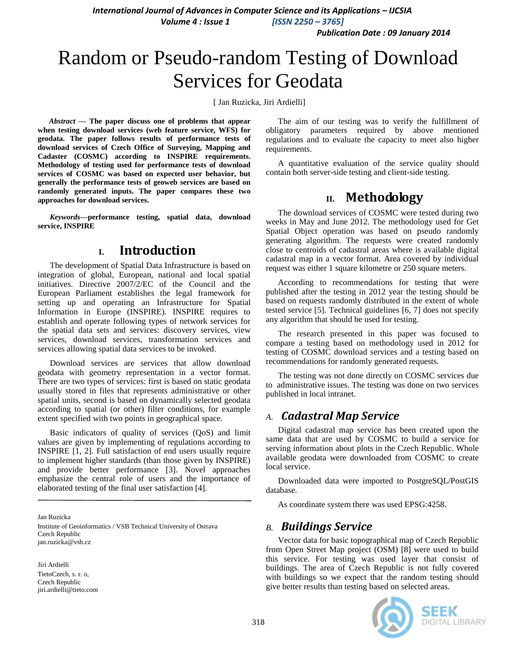*International Journal of Advances in Computer Science and its Applications - IJCSIA* 

*Volume 4 : Issue 1 [ISSN 2250 – 3765]*

*Publication Date : 09 January 2014*

# Random or Pseudo-random Testing of Download Services for Geodata

[ Jan Ruzicka, Jiri Ardielli]

*Abstract* **— The paper discuss one of problems that appear when testing download services (web feature service, WFS) for geodata. The paper follows results of performance tests of download services of Czech Office of Surveying, Mapping and Cadaster (COSMC) according to INSPIRE requirements. Methodology of testing used for performance tests of download services of COSMC was based on expected user behavior, but generally the performance tests of geoweb services are based on randomly generated inputs. The paper compares these two approaches for download services.**

*Keywords—***performance testing, spatial data, download service, INSPIRE**

## **I. Introduction**

The development of Spatial Data Infrastructure is based on integration of global, European, national and local spatial initiatives. Directive 2007/2/EC of the Council and the European Parliament establishes the legal framework for setting up and operating an Infrastructure for Spatial Information in Europe (INSPIRE). INSPIRE requires to establish and operate following types of network services for the spatial data sets and services: discovery services, view services, download services, transformation services and services allowing spatial data services to be invoked.

Download services are services that allow download geodata with geometry representation in a vector format. There are two types of services: first is based on static geodata usually stored in files that represents administrative or other spatial units, second is based on dynamically selected geodata according to spatial (or other) filter conditions, for example extent specified with two points in geographical space.

Basic indicators of quality of services (QoS) and limit values are given by implementing of regulations according to INSPIRE [1, 2]. Full satisfaction of end users usually require to implement higher standards (than those given by INSPIRE) and provide better performance [3]. Novel approaches emphasize the central role of users and the importance of elaborated testing of the final user satisfaction [4].

Jan Ruzicka Institute of Geoinformatics / VSB Technical University of Ostrava Czech Republic jan.ruzicka@vsb.cz

Jiri Ardielli TietoCzech, s. r. o, Czech Republic jiri.ardielli@tieto.com

The aim of our testing was to verify the fulfillment of obligatory parameters required by above mentioned regulations and to evaluate the capacity to meet also higher requirements.

A quantitative evaluation of the service quality should contain both server-side testing and client-side testing.

## **II. Methodology**

The download services of COSMC were tested during two weeks in May and June 2012. The methodology used for Get Spatial Object operation was based on pseudo randomly generating algorithm. The requests were created randomly close to centroids of cadastral areas where is available digital cadastral map in a vector format. Area covered by individual request was either 1 square kilometre or 250 square meters.

According to recommendations for testing that were published after the testing in 2012 year the testing should be based on requests randomly distributed in the extent of whole tested service [5]. Technical guidelines [6, 7] does not specify any algorithm that should be used for testing.

The research presented in this paper was focused to compare a testing based on methodology used in 2012 for testing of COSMC download services and a testing based on recommendations for randomly generated requests.

The testing was not done directly on COSMC services due to administrative issues. The testing was done on two services published in local intranet.

#### *A. Cadastral Map Service*

Digital cadastral map service has been created upon the same data that are used by COSMC to build a service for serving information about plots in the Czech Republic. Whole available geodata were downloaded from COSMC to create local service.

Downloaded data were imported to PostgreSQL/PostGIS database.

As coordinate system there was used EPSG:4258.

#### *B. Buildings Service*

Vector data for basic topographical map of Czech Republic from Open Street Map project (OSM) [8] were used to build this service. For testing was used layer that consist of buildings. The area of Czech Republic is not fully covered with buildings so we expect that the random testing should give better results than testing based on selected areas.

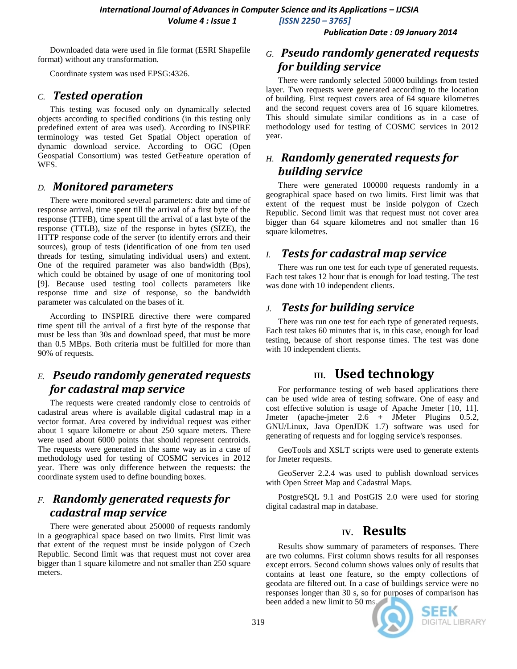*International Journal of Advances in Computer Science and its Applications – IJCSIA Volume 4 : Issue 1 [ISSN 2250 – 3765]*

*Publication Date : 09 January 2014*

Downloaded data were used in file format (ESRI Shapefile format) without any transformation.

Coordinate system was used EPSG:4326.

#### *C. Tested operation*

This testing was focused only on dynamically selected objects according to specified conditions (in this testing only predefined extent of area was used). According to INSPIRE terminology was tested Get Spatial Object operation of dynamic download service. According to OGC (Open Geospatial Consortium) was tested GetFeature operation of WFS.

#### *D. Monitored parameters*

There were monitored several parameters: date and time of response arrival, time spent till the arrival of a first byte of the response (TTFB), time spent till the arrival of a last byte of the response (TTLB), size of the response in bytes (SIZE), the HTTP response code of the server (to identify errors and their sources), group of tests (identification of one from ten used threads for testing, simulating individual users) and extent. One of the required parameter was also bandwidth (Bps), which could be obtained by usage of one of monitoring tool [9]. Because used testing tool collects parameters like response time and size of response, so the bandwidth parameter was calculated on the bases of it.

According to INSPIRE directive there were compared time spent till the arrival of a first byte of the response that must be less than 30s and download speed, that must be more than 0.5 MBps. Both criteria must be fulfilled for more than 90% of requests.

#### *E. Pseudo randomly generated requests for cadastral map service*

The requests were created randomly close to centroids of cadastral areas where is available digital cadastral map in a vector format. Area covered by individual request was either about 1 square kilometre or about 250 square meters. There were used about 6000 points that should represent centroids. The requests were generated in the same way as in a case of methodology used for testing of COSMC services in 2012 year. There was only difference between the requests: the coordinate system used to define bounding boxes.

### *F. Randomly generated requests for cadastral map service*

There were generated about 250000 of requests randomly in a geographical space based on two limits. First limit was that extent of the request must be inside polygon of Czech Republic. Second limit was that request must not cover area bigger than 1 square kilometre and not smaller than 250 square meters.

#### *G. Pseudo randomly generated requests for building service*

There were randomly selected 50000 buildings from tested layer. Two requests were generated according to the location of building. First request covers area of 64 square kilometres and the second request covers area of 16 square kilometres. This should simulate similar conditions as in a case of methodology used for testing of COSMC services in 2012 year.

## *H. Randomly generated requests for building service*

There were generated 100000 requests randomly in a geographical space based on two limits. First limit was that extent of the request must be inside polygon of Czech Republic. Second limit was that request must not cover area bigger than 64 square kilometres and not smaller than 16 square kilometres.

#### *I. Tests for cadastral map service*

There was run one test for each type of generated requests. Each test takes 12 hour that is enough for load testing. The test was done with 10 independent clients.

#### *J. Tests for building service*

There was run one test for each type of generated requests. Each test takes 60 minutes that is, in this case, enough for load testing, because of short response times. The test was done with 10 independent clients.

## **III. Used technology**

For performance testing of web based applications there can be used wide area of testing software. One of easy and cost effective solution is usage of Apache Jmeter [10, 11]. Jmeter (apache-jmeter 2.6 + JMeter Plugins 0.5.2, GNU/Linux, Java OpenJDK 1.7) software was used for generating of requests and for logging service's responses.

GeoTools and XSLT scripts were used to generate extents for Jmeter requests.

GeoServer 2.2.4 was used to publish download services with Open Street Map and Cadastral Maps.

PostgreSQL 9.1 and PostGIS 2.0 were used for storing digital cadastral map in database.

### **IV. Results**

Results show summary of parameters of responses. There are two columns. First column shows results for all responses except errors. Second column shows values only of results that contains at least one feature, so the empty collections of geodata are filtered out. In a case of buildings service were no responses longer than 30 s, so for purposes of comparison has been added a new limit to 50 ms.

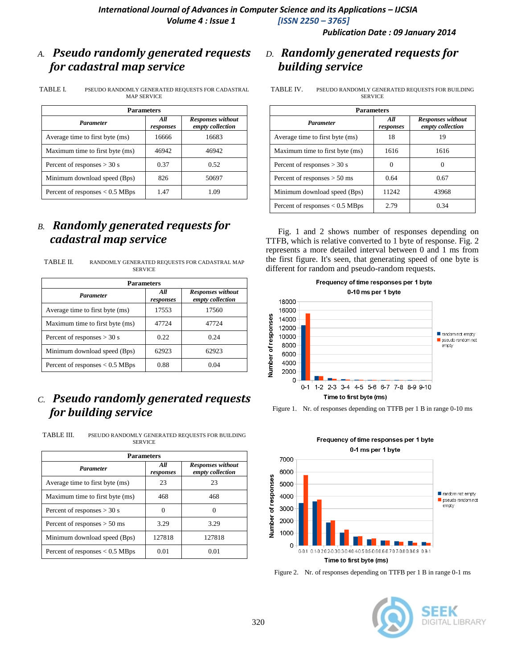*Publication Date : 09 January 2014*

# *A. Pseudo randomly generated requests for cadastral map service*

TABLE I. PSEUDO RANDOMLY GENERATED REQUESTS FOR CADASTRAL MAP SERVICE

| <b>Parameters</b>                 |                  |                                              |  |  |
|-----------------------------------|------------------|----------------------------------------------|--|--|
| <b>Parameter</b>                  | All<br>responses | <b>Responses without</b><br>empty collection |  |  |
| Average time to first byte (ms)   | 16666            | 16683                                        |  |  |
| Maximum time to first byte (ms)   | 46942            | 46942                                        |  |  |
| Percent of responses $>$ 30 s     | 0.37             | 0.52                                         |  |  |
| Minimum download speed (Bps)      | 826              | 50697                                        |  |  |
| Percent of responses $< 0.5$ MBps | 1.47             | 1.09                                         |  |  |

## *B. Randomly generated requests for cadastral map service*

TABLE II. RANDOMLY GENERATED REQUESTS FOR CADASTRAL MAP **SERVICE** 

| <b>Parameters</b>                 |                  |                                              |  |  |
|-----------------------------------|------------------|----------------------------------------------|--|--|
| <b>Parameter</b>                  | All<br>responses | <b>Responses without</b><br>empty collection |  |  |
| Average time to first byte (ms)   | 17553            | 17560                                        |  |  |
| Maximum time to first byte (ms)   | 47724            | 47724                                        |  |  |
| Percent of responses $>$ 30 s     | 0.22             | 0.24                                         |  |  |
| Minimum download speed (Bps)      | 62923            | 62923                                        |  |  |
| Percent of responses $< 0.5$ MBps | 0.88             | 0.04                                         |  |  |

# *C. Pseudo randomly generated requests for building service*

TABLE III. PSEUDO RANDOMLY GENERATED REQUESTS FOR BUILDING SERVICE

| <b>Parameters</b>                 |                   |                                              |  |  |
|-----------------------------------|-------------------|----------------------------------------------|--|--|
| <b>Parameter</b>                  | All<br>responses  | <b>Responses without</b><br>empty collection |  |  |
| Average time to first byte (ms)   | 23                | 23                                           |  |  |
| Maximum time to first byte (ms)   | 468               | 468                                          |  |  |
| Percent of responses $>$ 30 s     | $\mathbf{\Omega}$ | $\mathbf{0}$                                 |  |  |
| Percent of responses $> 50$ ms    | 3.29              | 3.29                                         |  |  |
| Minimum download speed (Bps)      | 127818            | 127818                                       |  |  |
| Percent of responses $< 0.5$ MBps | 0.01              | 0.01                                         |  |  |

## *D. Randomly generated requests for building service*

TABLE IV. PSEUDO RANDOMLY GENERATED REQUESTS FOR BUILDING **SERVICE** 

| <b>Parameters</b>                 |                  |                                              |  |
|-----------------------------------|------------------|----------------------------------------------|--|
| <b>Parameter</b>                  | All<br>responses | <b>Responses without</b><br>empty collection |  |
| Average time to first byte (ms)   | 18               | 19                                           |  |
| Maximum time to first byte (ms)   | 1616             | 1616                                         |  |
| Percent of responses $>$ 30 s     |                  |                                              |  |
| Percent of responses $> 50$ ms    | 0.64             | 0.67                                         |  |
| Minimum download speed (Bps)      | 11242            | 43968                                        |  |
| Percent of responses $< 0.5$ MBps | 2.79             | 0.34                                         |  |

Fig. 1 and 2 shows number of responses depending on TTFB, which is relative converted to 1 byte of response. Fig. 2 represents a more detailed interval between 0 and 1 ms from the first figure. It's seen, that generating speed of one byte is different for random and pseudo-random requests.



Figure 1. Nr. of responses depending on TTFB per 1 B in range 0-10 ms



Figure 2. Nr. of responses depending on TTFB per 1 B in range 0-1 ms